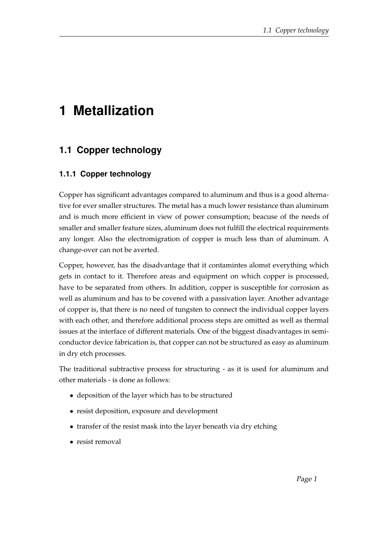# **1 Metallization**

## **1.1 Copper technology**

### **1.1.1 Copper technology**

Copper has significant advantages compared to aluminum and thus is a good alternative for ever smaller structures. The metal has a much lower resistance than aluminum and is much more efficient in view of power consumption; beacuse of the needs of smaller and smaller feature sizes, aluminum does not fulfill the electrical requirements any longer. Also the electromigration of copper is much less than of aluminum. A change-over can not be averted.

Copper, however, has the disadvantage that it contamintes alomst everything which gets in contact to it. Therefore areas and equipment on which copper is processed, have to be separated from others. In addition, copper is susceptible for corrosion as well as aluminum and has to be covered with a passivation layer. Another advantage of copper is, that there is no need of tungsten to connect the individual copper layers with each other, and therefore additional process steps are omitted as well as thermal issues at the interface of different materials. One of the biggest disadvantages in semiconductor device fabrication is, that copper can not be structured as easy as aluminum in dry etch processes.

The traditional subtractive process for structuring - as it is used for aluminum and other materials - is done as follows:

- deposition of the layer which has to be structured
- resist deposition, exposure and development
- transfer of the resist mask into the layer beneath via dry etching
- resist removal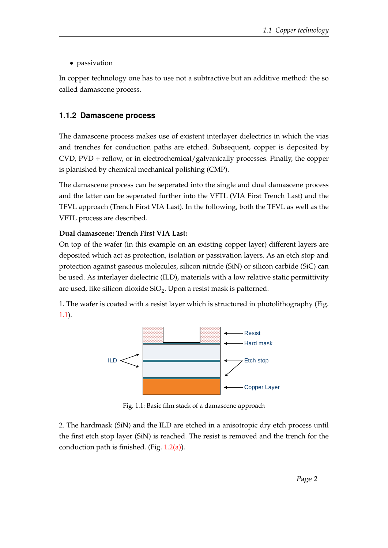• passivation

In copper technology one has to use not a subtractive but an additive method: the so called damascene process.

#### **1.1.2 Damascene process**

The damascene process makes use of existent interlayer dielectrics in which the vias and trenches for conduction paths are etched. Subsequent, copper is deposited by  $CVD$ ,  $PVD$  + reflow, or in electrochemical/galvanically processes. Finally, the copper is planished by chemical mechanical polishing (CMP).

The damascene process can be seperated into the single and dual damascene process and the latter can be seperated further into the VFTL (VIA First Trench Last) and the TFVL approach (Trench First VIA Last). In the following, both the TFVL as well as the VFTL process are described.

#### **Dual damascene: Trench First VIA Last:**

On top of the wafer (in this example on an existing copper layer) different layers are deposited which act as protection, isolation or passivation layers. As an etch stop and protection against gaseous molecules, silicon nitride (SiN) or silicon carbide (SiC) can be used. As interlayer dielectric (ILD), materials with a low relative static permittivity are used, like silicon dioxide SiO<sub>2</sub>. Upon a resist mask is patterned.

<span id="page-1-0"></span>1. The wafer is coated with a resist layer which is structured in photolithography (Fig. [1.1\)](#page-1-0).



Fig. 1.1: Basic film stack of a damascene approach

2. The hardmask (SiN) and the ILD are etched in a anisotropic dry etch process until the first etch stop layer (SiN) is reached. The resist is removed and the trench for the conduction path is finished. (Fig. [1.2\(a\)\)](#page-2-0).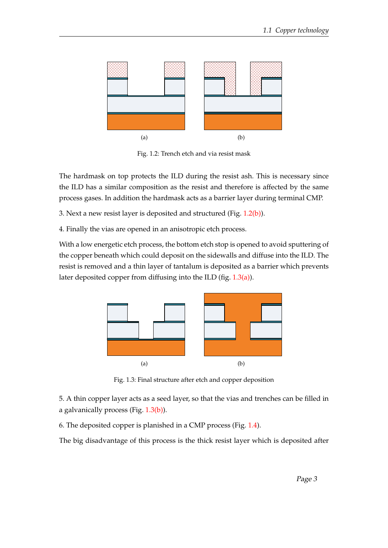<span id="page-2-0"></span>

<span id="page-2-1"></span>Fig. 1.2: Trench etch and via resist mask

The hardmask on top protects the ILD during the resist ash. This is necessary since the ILD has a similar composition as the resist and therefore is affected by the same process gases. In addition the hardmask acts as a barrier layer during terminal CMP.

3. Next a new resist layer is deposited and structured (Fig. [1.2\(b\)\)](#page-2-1).

4. Finally the vias are opened in an anisotropic etch process.

With a low energetic etch process, the bottom etch stop is opened to avoid sputtering of the copper beneath which could deposit on the sidewalls and diffuse into the ILD. The resist is removed and a thin layer of tantalum is deposited as a barrier which prevents later deposited copper from diffusing into the ILD (fig. [1.3\(a\)\)](#page-2-2).

<span id="page-2-2"></span>

<span id="page-2-3"></span>Fig. 1.3: Final structure after etch and copper deposition

5. A thin copper layer acts as a seed layer, so that the vias and trenches can be filled in a galvanically process (Fig. [1.3\(b\)\)](#page-2-3).

6. The deposited copper is planished in a CMP process (Fig. [1.4\)](#page-3-0).

The big disadvantage of this process is the thick resist layer which is deposited after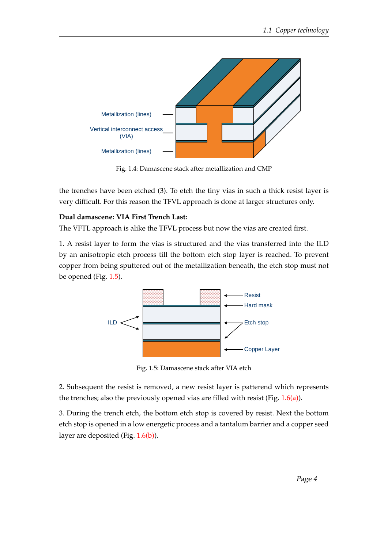<span id="page-3-0"></span>

Fig. 1.4: Damascene stack after metallization and CMP

the trenches have been etched (3). To etch the tiny vias in such a thick resist layer is very difficult. For this reason the TFVL approach is done at larger structures only.

#### **Dual damascene: VIA First Trench Last:**

The VFTL approach is alike the TFVL process but now the vias are created first.

1. A resist layer to form the vias is structured and the vias transferred into the ILD by an anisotropic etch process till the bottom etch stop layer is reached. To prevent copper from being sputtered out of the metallization beneath, the etch stop must not be opened (Fig. [1.5\)](#page-3-1).

<span id="page-3-1"></span>

Fig. 1.5: Damascene stack after VIA etch

2. Subsequent the resist is removed, a new resist layer is patterend which represents the trenches; also the previously opened vias are filled with resist (Fig. [1.6\(a\)\)](#page-4-0).

3. During the trench etch, the bottom etch stop is covered by resist. Next the bottom etch stop is opened in a low energetic process and a tantalum barrier and a copper seed layer are deposited (Fig. [1.6\(b\)\)](#page-4-1).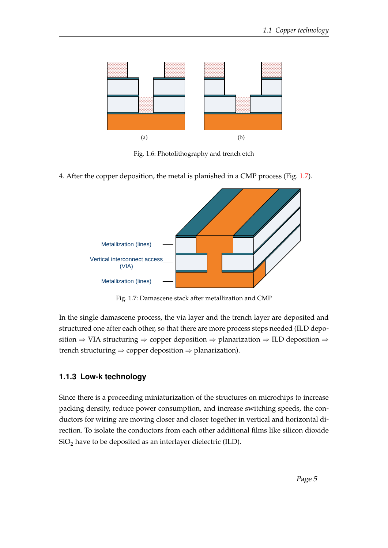<span id="page-4-0"></span>

<span id="page-4-1"></span>Fig. 1.6: Photolithography and trench etch

<span id="page-4-2"></span>4. After the copper deposition, the metal is planished in a CMP process (Fig. [1.7\)](#page-4-2).



Fig. 1.7: Damascene stack after metallization and CMP

In the single damascene process, the via layer and the trench layer are deposited and structured one after each other, so that there are more process steps needed (ILD deposition  $\Rightarrow$  VIA structuring  $\Rightarrow$  copper deposition  $\Rightarrow$  planarization  $\Rightarrow$  ILD deposition  $\Rightarrow$ trench structuring  $\Rightarrow$  copper deposition  $\Rightarrow$  planarization).

#### **1.1.3 Low-k technology**

Since there is a proceeding miniaturization of the structures on microchips to increase packing density, reduce power consumption, and increase switching speeds, the conductors for wiring are moving closer and closer together in vertical and horizontal direction. To isolate the conductors from each other additional films like silicon dioxide  $SiO<sub>2</sub>$  have to be deposited as an interlayer dielectric (ILD).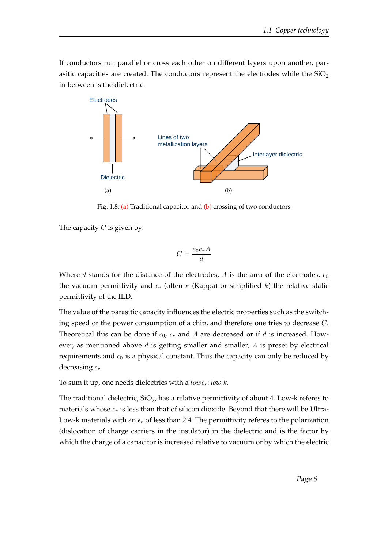If conductors run parallel or cross each other on different layers upon another, parasitic capacities are created. The conductors represent the electrodes while the  $SiO<sub>2</sub>$ in-between is the dielectric.

<span id="page-5-0"></span>

<span id="page-5-1"></span>Fig. 1.8: [\(a\)](#page-5-0) Traditional capacitor and [\(b\)](#page-5-1) crossing of two conductors

The capacity  $C$  is given by:

$$
C = \frac{e_0 e_r A}{d}
$$

Where d stands for the distance of the electrodes, A is the area of the electrodes,  $\epsilon_0$ the vacuum permittivity and  $\epsilon_r$  (often  $\kappa$  (Kappa) or simplified k) the relative static permittivity of the ILD.

The value of the parasitic capacity influences the electric properties such as the switching speed or the power consumption of a chip, and therefore one tries to decrease C. Theoretical this can be done if  $\epsilon_0$ ,  $\epsilon_r$  and A are decreased or if d is increased. However, as mentioned above  $d$  is getting smaller and smaller,  $A$  is preset by electrical requirements and  $\epsilon_0$  is a physical constant. Thus the capacity can only be reduced by decreasing  $\epsilon_r$ .

To sum it up, one needs dielectrics with a  $low_{\epsilon}$ :  $low_{\epsilon}$ .

The traditional dielectric, SiO<sub>2</sub>, has a relative permittivity of about 4. Low-k referes to materials whose  $\epsilon_r$  is less than that of silicon dioxide. Beyond that there will be Ultra-Low-k materials with an  $\epsilon_r$  of less than 2.4. The permittivity referes to the polarization (dislocation of charge carriers in the insulator) in the dielectric and is the factor by which the charge of a capacitor is increased relative to vacuum or by which the electric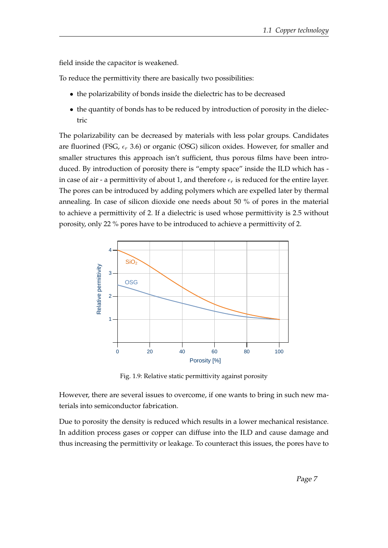field inside the capacitor is weakened.

To reduce the permittivity there are basically two possibilities:

- the polarizability of bonds inside the dielectric has to be decreased
- the quantity of bonds has to be reduced by introduction of porosity in the dielectric

The polarizability can be decreased by materials with less polar groups. Candidates are fluorined (FSG,  $\epsilon_r$  3.6) or organic (OSG) silicon oxides. However, for smaller and smaller structures this approach isn't sufficient, thus porous films have been introduced. By introduction of porosity there is "empty space" inside the ILD which has in case of air - a permittivity of about 1, and therefore  $\epsilon_r$  is reduced for the entire layer. The pores can be introduced by adding polymers which are expelled later by thermal annealing. In case of silicon dioxide one needs about 50 % of pores in the material to achieve a permittivity of 2. If a dielectric is used whose permittivity is 2.5 without porosity, only 22 % pores have to be introduced to achieve a permittivity of 2.



Fig. 1.9: Relative static permittivity against porosity

However, there are several issues to overcome, if one wants to bring in such new materials into semiconductor fabrication.

Due to porosity the density is reduced which results in a lower mechanical resistance. In addition process gases or copper can diffuse into the ILD and cause damage and thus increasing the permittivity or leakage. To counteract this issues, the pores have to